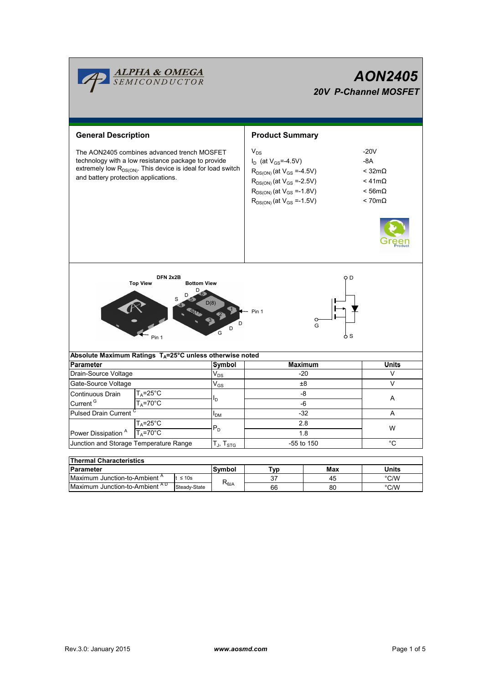|                                                                                                                                                                                                                        | <b>ALPHA &amp; OMEGA</b><br>SEMICONDUCTOR     |                                   | <b>AON2405</b><br><b>20V P-Channel MOSFET</b> |                                                                                                                                                                                                      |                      |                                                                                                           |  |  |  |
|------------------------------------------------------------------------------------------------------------------------------------------------------------------------------------------------------------------------|-----------------------------------------------|-----------------------------------|-----------------------------------------------|------------------------------------------------------------------------------------------------------------------------------------------------------------------------------------------------------|----------------------|-----------------------------------------------------------------------------------------------------------|--|--|--|
| <b>General Description</b>                                                                                                                                                                                             |                                               |                                   |                                               | <b>Product Summary</b>                                                                                                                                                                               |                      |                                                                                                           |  |  |  |
| The AON2405 combines advanced trench MOSFET<br>technology with a low resistance package to provide<br>extremely low R <sub>DS(ON)</sub> . This device is ideal for load switch<br>and battery protection applications. |                                               |                                   |                                               | $V_{DS}$<br>$I_D$ (at $V_{GS} = -4.5V$ )<br>$R_{DS(ON)}$ (at $V_{GS} = -4.5V$ )<br>$R_{DS(ON)}$ (at $V_{GS} = -2.5V$ )<br>$R_{DS(ON)}$ (at $V_{GS} = -1.8V$ )<br>$R_{DS(ON)}$ (at $V_{GS} = -1.5V$ ) |                      | $-20V$<br>$-8A$<br>$<$ 32m $\Omega$<br>$<$ 41m $\Omega$<br>$< 56 \text{m}\Omega$<br>$< 70 \text{m}\Omega$ |  |  |  |
|                                                                                                                                                                                                                        |                                               |                                   |                                               |                                                                                                                                                                                                      |                      |                                                                                                           |  |  |  |
| Absolute Maximum Ratings T <sub>A</sub> =25°C unless otherwise noted                                                                                                                                                   | DFN 2x2B<br><b>Top View</b><br>Pin 1          | <b>Bottom View</b><br>D<br>D<br>S | D(8)<br>D<br>G                                | Pin 1                                                                                                                                                                                                | O D<br>O<br>G<br>6 S |                                                                                                           |  |  |  |
| Parameter                                                                                                                                                                                                              |                                               |                                   | Symbol                                        | <b>Maximum</b>                                                                                                                                                                                       | Units                |                                                                                                           |  |  |  |
| Drain-Source Voltage                                                                                                                                                                                                   |                                               |                                   | $\mathsf{V}_{\mathsf{DS}}$                    | -20                                                                                                                                                                                                  | V                    |                                                                                                           |  |  |  |
| Gate-Source Voltage                                                                                                                                                                                                    |                                               |                                   | $\mathsf{V}_{\mathsf{GS}}$                    | $_{\pm 8}$                                                                                                                                                                                           | V                    |                                                                                                           |  |  |  |
| Continuous Drain<br>Current <sup>G</sup>                                                                                                                                                                               | $T_A = 25^{\circ}C$<br>$T_A = 70$ °C          |                                   | l <sub>D.</sub>                               | -8<br>-6                                                                                                                                                                                             |                      | Α                                                                                                         |  |  |  |
| Pulsed Drain Current <sup>C</sup>                                                                                                                                                                                      |                                               |                                   | $I_{DM}$                                      | $-32$                                                                                                                                                                                                | A                    |                                                                                                           |  |  |  |
| $T_A = 25^{\circ}C$                                                                                                                                                                                                    |                                               |                                   |                                               | 2.8                                                                                                                                                                                                  |                      |                                                                                                           |  |  |  |
| Power Dissipation <sup>A</sup><br>$T_A = 70^{\circ}$ C                                                                                                                                                                 |                                               |                                   | $P_D$                                         | 1.8                                                                                                                                                                                                  | W                    |                                                                                                           |  |  |  |
| Junction and Storage Temperature Range                                                                                                                                                                                 |                                               |                                   | $T_J$ , $T_{STG}$                             | -55 to 150                                                                                                                                                                                           | $^\circ \text{C}$    |                                                                                                           |  |  |  |
|                                                                                                                                                                                                                        |                                               |                                   |                                               |                                                                                                                                                                                                      |                      |                                                                                                           |  |  |  |
| <b>Thermal Characteristics</b>                                                                                                                                                                                         |                                               |                                   |                                               |                                                                                                                                                                                                      |                      |                                                                                                           |  |  |  |
| <b>Parameter</b>                                                                                                                                                                                                       |                                               |                                   | Symbol                                        | <b>Typ</b>                                                                                                                                                                                           | Max                  | <b>Units</b>                                                                                              |  |  |  |
|                                                                                                                                                                                                                        | Maximum Junction-to-Ambient A<br>$t \leq 10s$ |                                   | $R_{\theta JA}$                               | 37                                                                                                                                                                                                   | 45                   | $^{\circ}$ C/W                                                                                            |  |  |  |
| Maximum Junction-to-Ambient AD                                                                                                                                                                                         |                                               | Steady-State                      |                                               | 66                                                                                                                                                                                                   | 80                   | $^{\circ}$ C/W                                                                                            |  |  |  |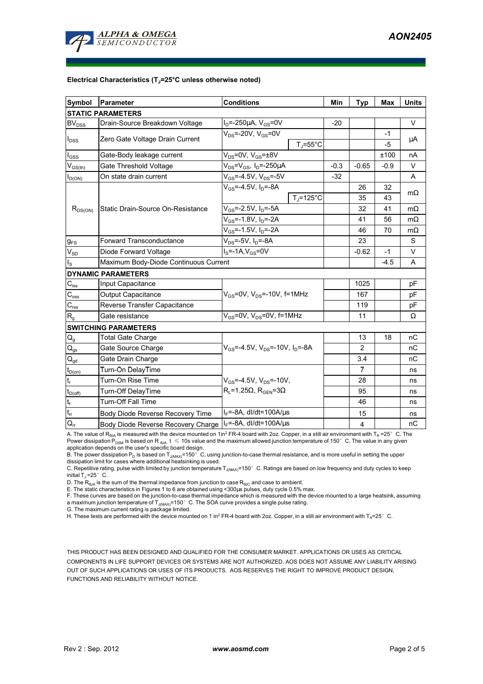

#### **Electrical Characteristics (TJ=25°C unless otherwise noted)**

| <b>Symbol</b>                | <b>Parameter</b>                                               | <b>Conditions</b>                                   | Min     | <b>Typ</b>     | <b>Max</b>   | <b>Units</b> |  |  |  |  |  |
|------------------------------|----------------------------------------------------------------|-----------------------------------------------------|---------|----------------|--------------|--------------|--|--|--|--|--|
| <b>STATIC PARAMETERS</b>     |                                                                |                                                     |         |                |              |              |  |  |  |  |  |
| $\mathsf{BV}_{\mathsf{DSS}}$ | Drain-Source Breakdown Voltage                                 | $I_D = -250 \mu A$ , $V_{GS} = 0V$                  | $-20$   |                |              | $\vee$       |  |  |  |  |  |
| $I_{DSS}$                    | Zero Gate Voltage Drain Current                                | $V_{DS}$ =-20V, $V_{GS}$ =0V<br>$T_i = 55^{\circ}C$ |         |                | $-1$<br>$-5$ | $\mu$ A      |  |  |  |  |  |
| $I_{\rm GSS}$                | Gate-Body leakage current                                      | $V_{DS}$ =0V, $V_{GS}$ = $\pm$ 8V                   |         |                | ±100         | nA           |  |  |  |  |  |
| $V_{GS(th)}$                 | Gate Threshold Voltage                                         | $V_{DS} = V_{GS}$ , $I_D = -250 \mu A$              | $-0.3$  | $-0.65$        | $-0.9$       | V            |  |  |  |  |  |
| $I_{D(ON)}$                  | On state drain current                                         | $V_{GS}$ =-4.5V, $V_{DS}$ =-5V                      | $-32$   |                |              | A            |  |  |  |  |  |
| $R_{DS(ON)}$                 |                                                                | $V_{GS} = -4.5V$ , $I_D = -8A$                      |         | 26             | 32           |              |  |  |  |  |  |
|                              |                                                                | $T_{\rm J}$ =125°C                                  |         | 35             | 43           | $m\Omega$    |  |  |  |  |  |
|                              | Static Drain-Source On-Resistance                              | $V_{GS}$ =-2.5V, $I_D$ =-5A                         |         | 32             | 41           | $m\Omega$    |  |  |  |  |  |
|                              |                                                                | $V_{GS}$ =-1.8V, $I_D$ =-2A                         |         | 41             | 56           | $m\Omega$    |  |  |  |  |  |
|                              |                                                                | $V_{GS}$ =-1.5V, $I_D$ =-2A                         |         | 46             | 70           | $m\Omega$    |  |  |  |  |  |
| $g_{FS}$                     | Forward Transconductance                                       |                                                     | 23      |                | S            |              |  |  |  |  |  |
| $V_{SD}$                     | Diode Forward Voltage                                          |                                                     | $-0.62$ | -1             | V            |              |  |  |  |  |  |
| $I_{\rm S}$                  | Maximum Body-Diode Continuous Current                          |                                                     |         | $-4.5$         | A            |              |  |  |  |  |  |
|                              | <b>DYNAMIC PARAMETERS</b>                                      |                                                     |         |                |              |              |  |  |  |  |  |
| $C_{\mathsf{iss}}$           | <b>Input Capacitance</b>                                       |                                                     |         | 1025           |              | pF           |  |  |  |  |  |
| $C_{\rm oss}$                | Output Capacitance                                             | $V_{GS}$ =0V, $V_{DS}$ =-10V, f=1MHz                |         | 167            |              | pF           |  |  |  |  |  |
| $C_{\rm rss}$                | Reverse Transfer Capacitance                                   |                                                     |         | 119            |              | pF           |  |  |  |  |  |
| R <sub>g</sub>               | Gate resistance                                                | $V_{GS}$ =0V, $V_{DS}$ =0V, f=1MHz                  |         | 11             |              | Ω            |  |  |  |  |  |
|                              | <b>SWITCHING PARAMETERS</b>                                    |                                                     |         |                |              |              |  |  |  |  |  |
| $Q_g$                        | <b>Total Gate Charge</b>                                       |                                                     |         | 13             | 18           | nC           |  |  |  |  |  |
| $Q_{gs}$                     | Gate Source Charge                                             | $V_{GS}$ =-4.5V, $V_{DS}$ =-10V, $I_D$ =-8A         |         | $\overline{2}$ |              | nC           |  |  |  |  |  |
| $\mathbf{Q}_{\text{gd}}$     | Gate Drain Charge                                              |                                                     |         | 3.4            |              | nC           |  |  |  |  |  |
| $t_{D(0n)}$                  | Turn-On DelayTime                                              |                                                     |         | $\overline{7}$ |              | ns           |  |  |  |  |  |
| $\mathfrak{t}_{\mathsf{r}}$  | Turn-On Rise Time<br>$V_{GS}$ =-4.5V, $V_{DS}$ =-10V,          |                                                     |         | 28             |              | ns           |  |  |  |  |  |
| $t_{D(off)}$                 | $R_1 = 1.25\Omega$ , $R_{GEN} = 3\Omega$<br>Turn-Off DelayTime |                                                     |         | 95             |              | ns           |  |  |  |  |  |
| $t_f$                        | <b>Turn-Off Fall Time</b>                                      |                                                     |         | 46             |              | ns           |  |  |  |  |  |
| $\mathsf{t}_{\mathsf{rr}}$   | Body Diode Reverse Recovery Time                               | $I_F$ =-8A, dl/dt=100A/ $\mu$ s                     |         | 15             |              | ns           |  |  |  |  |  |
| $\mathsf{Q}_{\text{rr}}$     | Body Diode Reverse Recovery Charge                             | $I_F$ =-8A, dl/dt=100A/us                           |         | 4              |              | nC           |  |  |  |  |  |

A. The value of R<sub>θJA</sub> is measured with the device mounted on 1in<sup>2</sup> FR-4 board with 2oz. Copper, in a still air environment with T<sub>A</sub> =25°C. The Power dissipation P<sub>DSM</sub> is based on R <sub>θJA</sub> t  $\leq$  10s value and the maximum allowed junction temperature of 150°C. The value in any given

application depends on the user's specific board design.<br>B. The power dissipation P<sub>D</sub> is based on T<sub>J(MAX)</sub>=150°C, using junction-to-case thermal resistance, and is more useful in setting the upper<br>dissipation limit for c

C. Repetitive rating, pulse width limited by junction temperature  $T_{J(MAX)}$ =150°C. Ratings are based on low frequency and duty cycles to keep initial  $T_J = 25^\circ$  C.

D. The  $R_{\theta JA}$  is the sum of the thermal impedance from junction to case  $R_{\theta JC}$  and case to ambient.

E. The static characteristics in Figures 1 to 6 are obtained using <300µs pulses, duty cycle 0.5% max.<br>F. These curves are based on the junction-to-case thermal impedance which is measured with the device mounted to a larg a maximum junction temperature of T<sub>J(MAX)</sub>=150°C. The SOA curve provides a single pulse rating.<br>G. The maximum current rating is package limited.

H. These tests are performed with the device mounted on 1 in<sup>2</sup> FR-4 board with 2oz. Copper, in a still air environment with T<sub>A</sub>=25°C.

THIS PRODUCT HAS BEEN DESIGNED AND QUALIFIED FOR THE CONSUMER MARKET. APPLICATIONS OR USES AS CRITICAL COMPONENTS IN LIFE SUPPORT DEVICES OR SYSTEMS ARE NOT AUTHORIZED. AOS DOES NOT ASSUME ANY LIABILITY ARISING OUT OF SUCH APPLICATIONS OR USES OF ITS PRODUCTS. AOS RESERVES THE RIGHT TO IMPROVE PRODUCT DESIGN, FUNCTIONS AND RELIABILITY WITHOUT NOTICE.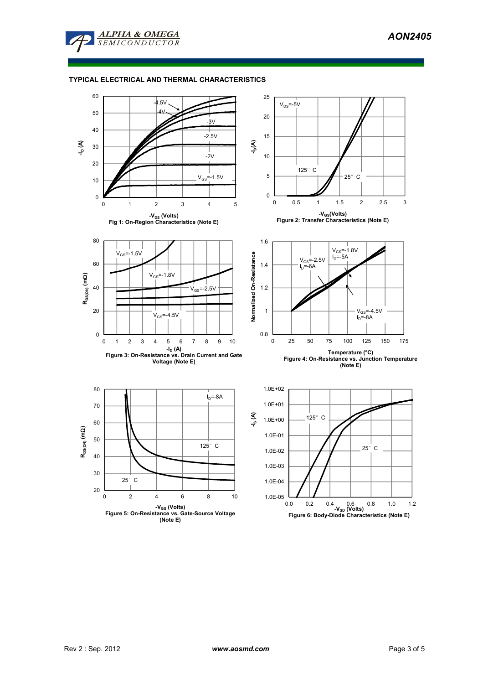

## **TYPICAL ELECTRICAL AND THERMAL CHARACTERISTICS**

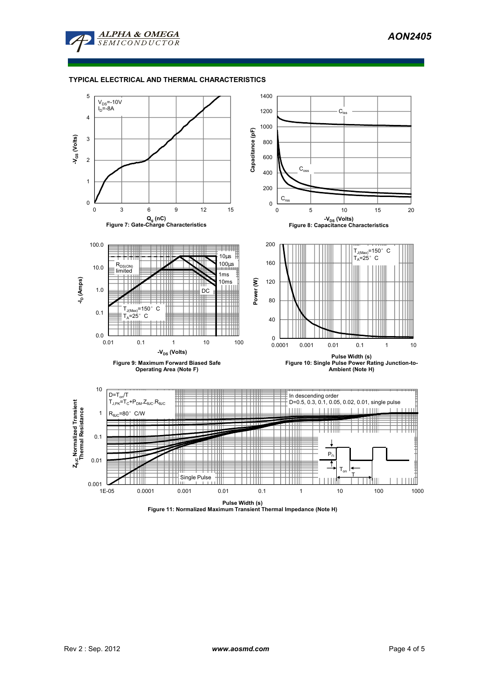

## **TYPICAL ELECTRICAL AND THERMAL CHARACTERISTICS**